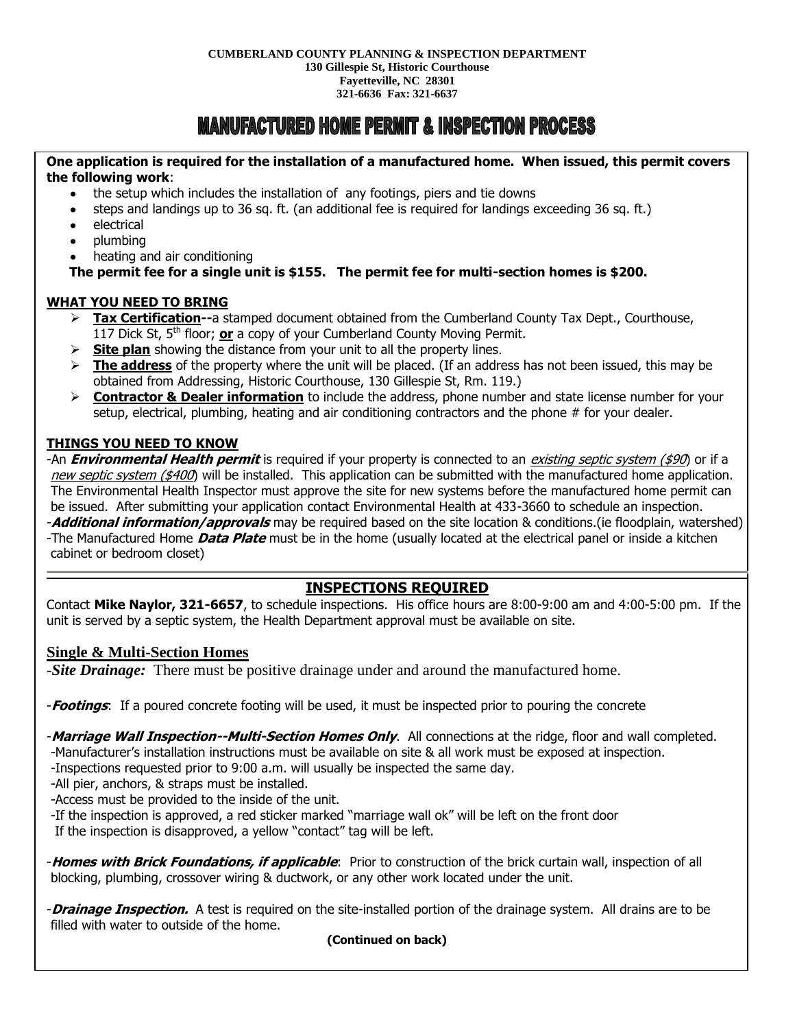# **MANUFACTURED HOME PERMIT & INSPECTION PROCESS**

#### **One application is required for the installation of a manufactured home. When issued, this permit covers the following work**:

- the setup which includes the installation of any footings, piers and tie downs
- steps and landings up to 36 sq. ft. (an additional fee is required for landings exceeding 36 sq. ft.)
- electrical
- plumbing
- heating and air conditioning

#### **The permit fee for a single unit is \$155. The permit fee for multi-section homes is \$200.**

#### **WHAT YOU NEED TO BRING**

- **Tax Certification--**a stamped document obtained from the Cumberland County Tax Dept., Courthouse, 117 Dick St, 5th floor; **or** a copy of your Cumberland County Moving Permit.
- **Site plan** showing the distance from your unit to all the property lines.
- **The address** of the property where the unit will be placed. (If an address has not been issued, this may be obtained from Addressing, Historic Courthouse, 130 Gillespie St, Rm. 119.)
- **Contractor & Dealer information** to include the address, phone number and state license number for your setup, electrical, plumbing, heating and air conditioning contractors and the phone # for your dealer.

#### **THINGS YOU NEED TO KNOW**

-An **Environmental Health permit** is required if your property is connected to an *existing septic system (\$90*) or if a new septic system (\$400) will be installed. This application can be submitted with the manufactured home application. The Environmental Health Inspector must approve the site for new systems before the manufactured home permit can be issued. After submitting your application contact Environmental Health at 433-3660 to schedule an inspection. -**Additional information/approvals** may be required based on the site location & conditions.(ie floodplain, watershed) -The Manufactured Home **Data Plate** must be in the home (usually located at the electrical panel or inside a kitchen cabinet or bedroom closet)

### **INSPECTIONS REQUIRED**

Contact **Mike Naylor, 321-6657**, to schedule inspections. His office hours are 8:00-9:00 am and 4:00-5:00 pm. If the unit is served by a septic system, the Health Department approval must be available on site.

#### **Single & Multi-Section Homes**

-*Site Drainage:* There must be positive drainage under and around the manufactured home.

-**Footings**: If a poured concrete footing will be used, it must be inspected prior to pouring the concrete

-**Marriage Wall Inspection--Multi-Section Homes Only**. All connections at the ridge, floor and wall completed. -Manufacturer's installation instructions must be available on site & all work must be exposed at inspection.

-Inspections requested prior to 9:00 a.m. will usually be inspected the same day.

-All pier, anchors, & straps must be installed.

-Access must be provided to the inside of the unit.

-If the inspection is approved, a red sticker marked "marriage wall ok" will be left on the front door

If the inspection is disapproved, a yellow "contact" tag will be left.

-**Homes with Brick Foundations, if applicable**: Prior to construction of the brick curtain wall, inspection of all blocking, plumbing, crossover wiring & ductwork, or any other work located under the unit.

-**Drainage Inspection.** A test is required on the site-installed portion of the drainage system. All drains are to be filled with water to outside of the home.

#### **(Continued on back)**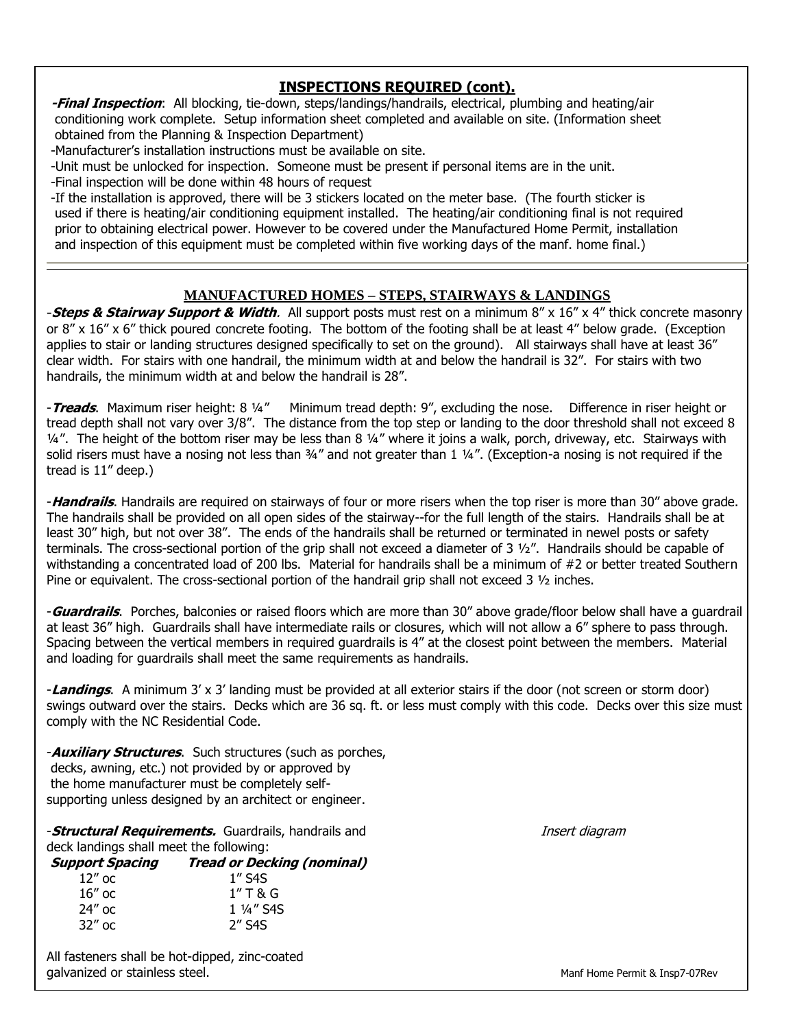## **INSPECTIONS REQUIRED (cont).**

**-Final Inspection**: All blocking, tie-down, steps/landings/handrails, electrical, plumbing and heating/air conditioning work complete. Setup information sheet completed and available on site. (Information sheet obtained from the Planning & Inspection Department)

-Manufacturer's installation instructions must be available on site.

-Unit must be unlocked for inspection. Someone must be present if personal items are in the unit.

-Final inspection will be done within 48 hours of request

-If the installation is approved, there will be 3 stickers located on the meter base. (The fourth sticker is used if there is heating/air conditioning equipment installed. The heating/air conditioning final is not required prior to obtaining electrical power. However to be covered under the Manufactured Home Permit, installation and inspection of this equipment must be completed within five working days of the manf. home final.)

#### **MANUFACTURED HOMES – STEPS, STAIRWAYS & LANDINGS**

-**Steps & Stairway Support & Width**. All support posts must rest on a minimum 8" x 16" x 4" thick concrete masonry or 8" x 16" x 6" thick poured concrete footing. The bottom of the footing shall be at least 4" below grade. (Exception applies to stair or landing structures designed specifically to set on the ground). All stairways shall have at least 36" clear width. For stairs with one handrail, the minimum width at and below the handrail is 32". For stairs with two handrails, the minimum width at and below the handrail is 28".

-**Treads**. Maximum riser height: 8 ¼" Minimum tread depth: 9", excluding the nose. Difference in riser height or tread depth shall not vary over 3/8". The distance from the top step or landing to the door threshold shall not exceed 8 1/4". The height of the bottom riser may be less than 8 1/4" where it joins a walk, porch, driveway, etc. Stairways with solid risers must have a nosing not less than 34" and not greater than 1 14". (Exception-a nosing is not required if the tread is 11" deep.)

-**Handrails**. Handrails are required on stairways of four or more risers when the top riser is more than 30" above grade. The handrails shall be provided on all open sides of the stairway--for the full length of the stairs. Handrails shall be at least 30" high, but not over 38". The ends of the handrails shall be returned or terminated in newel posts or safety terminals. The cross-sectional portion of the grip shall not exceed a diameter of  $3\frac{1}{2}$ ". Handrails should be capable of withstanding a concentrated load of 200 lbs. Material for handrails shall be a minimum of #2 or better treated Southern Pine or equivalent. The cross-sectional portion of the handrail grip shall not exceed  $3\frac{1}{2}$  inches.

-**Guardrails**. Porches, balconies or raised floors which are more than 30" above grade/floor below shall have a guardrail at least 36" high. Guardrails shall have intermediate rails or closures, which will not allow a 6" sphere to pass through. Spacing between the vertical members in required guardrails is 4" at the closest point between the members. Material and loading for guardrails shall meet the same requirements as handrails.

-**Landings**. A minimum 3' x 3' landing must be provided at all exterior stairs if the door (not screen or storm door) swings outward over the stairs. Decks which are 36 sq. ft. or less must comply with this code. Decks over this size must comply with the NC Residential Code.

-**Auxiliary Structures**. Such structures (such as porches, decks, awning, etc.) not provided by or approved by the home manufacturer must be completely selfsupporting unless designed by an architect or engineer.

**-Structural Requirements.** Guardrails, handrails and **Insert diagram** Insert diagram deck landings shall meet the following:

**Support Spacing Tread or Decking (nominal)** 12" oc 1" S4S 16" oc 1" T & G 24" oc  $1\frac{1}{4}$ " S4S

All fasteners shall be hot-dipped, zinc-coated galvanized or stainless steel. The manifold of the state of the state of the Manf Home Permit & Insp7-07Rev

32" oc 2" S4S